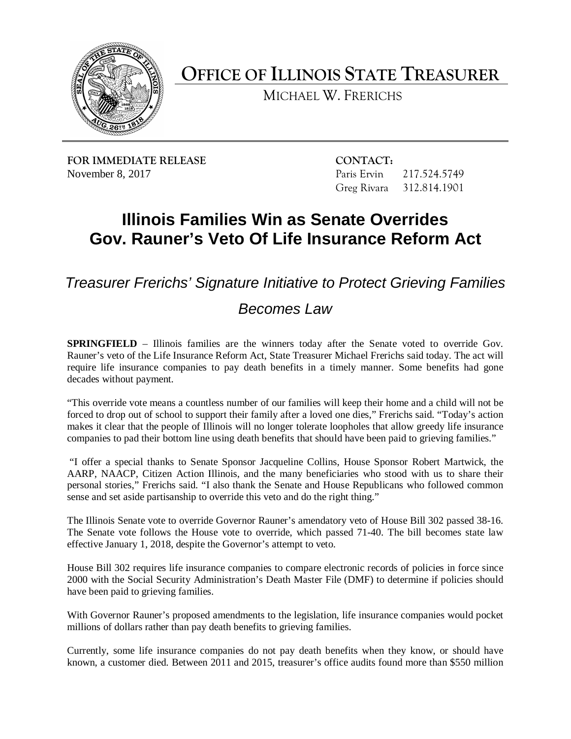

**OFFICE OF ILLINOIS STATE TREASURER** 

MICHAEL W. FRERICHS

**FOR IMMEDIATE RELEASE CONTACT:** November 8, 2017

Paris Ervin 217.524.5749 Greg Rivara 312.814.1901

## **Gov. Rauner's Veto Of Life Insurance Reform Act Illinois Families Win as Senate Overrides**

*Treasurer Frerichs' Signature Initiative to Protect Grieving Families* 

## *Becomes Law*

 **SPRINGFIELD** – Illinois families are the winners today after the Senate voted to override Gov. require life insurance companies to pay death benefits in a timely manner. Some benefits had gone Rauner's veto of the Life Insurance Reform Act, State Treasurer Michael Frerichs said today. The act will decades without payment.

 "This override vote means a countless number of our families will keep their home and a child will not be makes it clear that the people of Illinois will no longer tolerate loopholes that allow greedy life insurance companies to pad their bottom line using death benefits that should have been paid to grieving families." forced to drop out of school to support their family after a loved one dies," Frerichs said. "Today's action

 "I offer a special thanks to Senate Sponsor Jacqueline Collins, House Sponsor Robert Martwick, the personal stories," Frerichs said. "I also thank the Senate and House Republicans who followed common sense and set aside partisanship to override this veto and do the right thing." AARP, NAACP, Citizen Action Illinois, and the many beneficiaries who stood with us to share their

 The Senate vote follows the House vote to override, which passed 71-40. The bill becomes state law The Illinois Senate vote to override Governor Rauner's amendatory veto of House Bill 302 passed 38-16. effective January 1, 2018, despite the Governor's attempt to veto.

 House Bill 302 requires life insurance companies to compare electronic records of policies in force since 2000 with the Social Security Administration's Death Master File (DMF) to determine if policies should have been paid to grieving families.

 millions of dollars rather than pay death benefits to grieving families. With Governor Rauner's proposed amendments to the legislation, life insurance companies would pocket

 Currently, some life insurance companies do not pay death benefits when they know, or should have known, a customer died. Between 2011 and 2015, treasurer's office audits found more than \$550 million